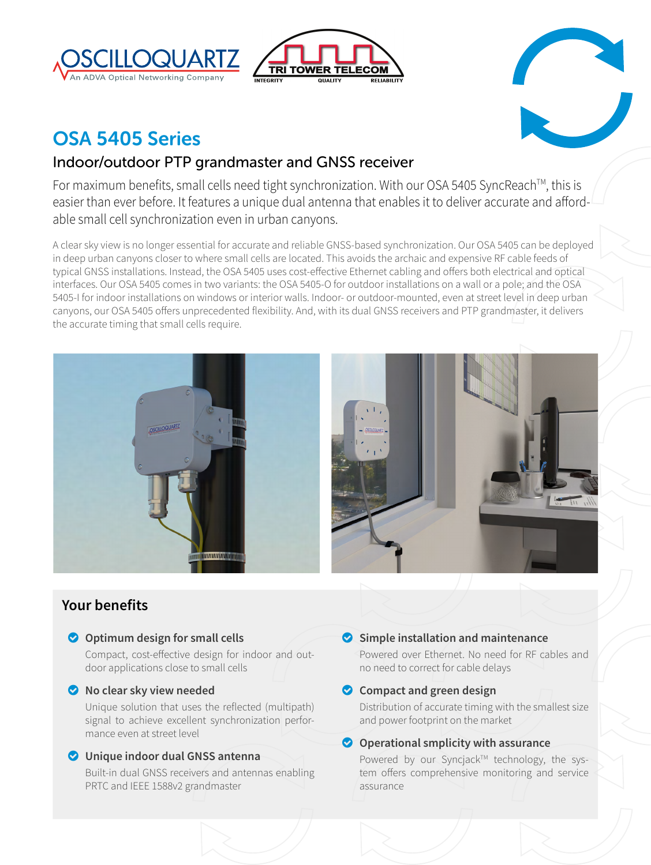





# OSA 5405 Series

# Indoor/outdoor PTP grandmaster and GNSS receiver

For maximum benefits, small cells need tight synchronization. With our OSA 5405 SyncReach<sup>™</sup>, this is easier than ever before. It features a unique dual antenna that enables it to deliver accurate and affordable small cell synchronization even in urban canyons.

A clear sky view is no longer essential for accurate and reliable GNSS-based synchronization. Our OSA 5405 can be deployed in deep urban canyons closer to where small cells are located. This avoids the archaic and expensive RF cable feeds of typical GNSS installations. Instead, the OSA 5405 uses cost-effective Ethernet cabling and offers both electrical and optical interfaces. Our OSA 5405 comes in two variants: the OSA 5405-O for outdoor installations on a wall or a pole; and the OSA 5405-I for indoor installations on windows or interior walls. Indoor- or outdoor-mounted, even at street level in deep urban canyons, our OSA 5405 offers unprecedented flexibility. And, with its dual GNSS receivers and PTP grandmaster, it delivers the accurate timing that small cells require.



# **Your benefits**

### **O** Optimum design for small cells

Compact, cost-effective design for indoor and outdoor applications close to small cells

### o **No clear sky view needed**

Unique solution that uses the reflected (multipath) signal to achieve excellent synchronization performance even at street level

### o **Unique indoor dual GNSS antenna**

Built-in dual GNSS receivers and antennas enabling PRTC and IEEE 1588v2 grandmaster

### o **Simple installation and maintenance**

Powered over Ethernet. No need for RF cables and no need to correct for cable delays

# **O** Compact and green design

Distribution of accurate timing with the smallest size and power footprint on the market

### **O** Operational smplicity with assurance

Powered by our Syncjack™ technology, the system offers comprehensive monitoring and service assurance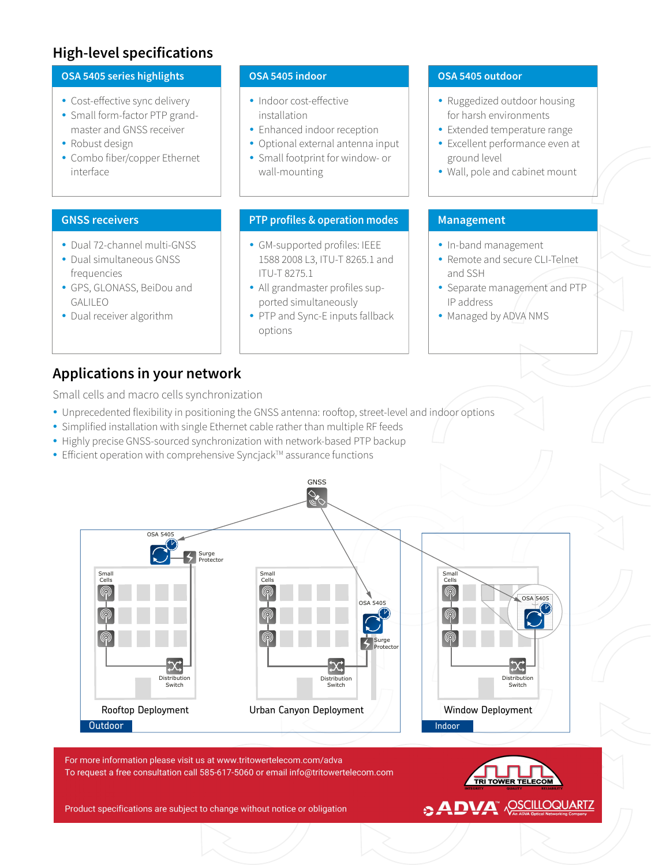# **High-level specifications**



# **Applications in your network**

Small cells and macro cells synchronization

- Unprecedented flexibility in positioning the GNSS antenna: rooftop, street-level and indoor options
- Simplified installation with single Ethernet cable rather than multiple RF feeds
- Highly precise GNSS-sourced synchronization with network-based PTP backup
- Efficient operation with comprehensive Syncjack™ assurance functions



For more information please visit us at www.tritowertelecom.com/adva To request a free consultation call 585-617-5060 or email info@tritowertelecom.com

Product specifications are subject to change without notice or obligation

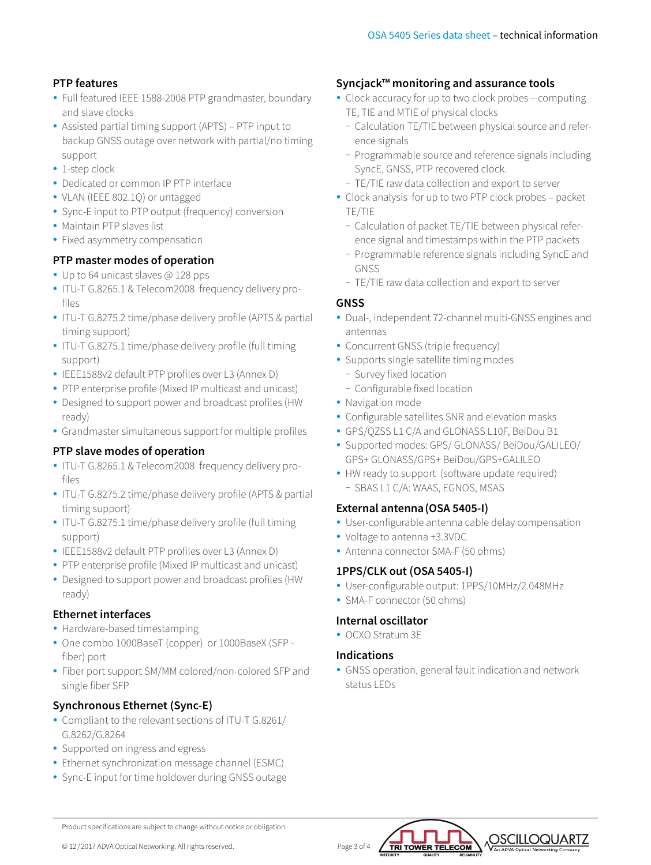# **PTP features**

- Full featured IEEE 1588-2008 PTP grandmaster, boundary and slave clocks
- Assisted partial timing support (APTS) PTP input to backup GNSS outage over network with partial/no timing support
- $\cdot$  1-step clock
- Dedicated or common IP PTP interface
- VLAN (IEEE 802.1Q) or untagged
- Sync-E input to PTP output (frequency) conversion
- Maintain PTP slaves list
- Fixed asymmetry compensation

# **PTP master modes of operation**

- Up to 64 unicast slaves @ 128 pps
- ITU-T G.8265.1 & Telecom2008 frequency delivery profiles
- ITU-T G.8275.2 time/phase delivery profile (APTS & partial timing support)
- ITU-T G.8275.1 time/phase delivery profile (full timing support)
- IEEE1588v2 default PTP profiles over L3 (Annex D)
- PTP enterprise profile (Mixed IP multicast and unicast)
- Designed to support power and broadcast profiles (HW ready)
- Grandmaster simultaneous support for multiple profiles

### **PTP slave modes of operation**

- ITU-T G.8265.1 & Telecom2008 frequency delivery profiles
- ITU-T G.8275.2 time/phase delivery profile (APTS & partial timing support)
- ITU-T G.8275.1 time/phase delivery profile (full timing support)
- IEEE1588v2 default PTP profiles over L3 (Annex D)
- PTP enterprise profile (Mixed IP multicast and unicast)
- Designed to support power and broadcast profiles (HW ready)

### **Ethernet interfaces**

- Hardware-based timestamping
- One combo 1000BaseT (copper) or 1000BaseX (SFP fiber) port
- Fiber port support SM/MM colored/non-colored SFP and single fiber SFP

# **Synchronous Ethernet (Sync-E)**

- Compliant to the relevant sections of ITU-T G.8261/ G.8262/G.8264
- Supported on ingress and egress
- Ethernet synchronization message channel (ESMC)
- Sync-E input for time holdover during GNSS outage

# **Syncjack™ monitoring and assurance tools**

- Clock accuracy for up to two clock probes computing TE, TIE and MTIE of physical clocks
	- − Calculation TE/TIE between physical source and reference signals
	- − Programmable source and reference signals including SyncE, GNSS, PTP recovered clock.
	- − TE/TIE raw data collection and export to server
- Clock analysis for up to two PTP clock probes packet TE/TIE
	- − Calculation of packet TE/TIE between physical reference signal and timestamps within the PTP packets
	- − Programmable reference signals including SyncE and GNSS
	- − TE/TIE raw data collection and export to server

# **GNSS**

- Dual-, independent 72-channel multi-GNSS engines and antennas
- Concurrent GNSS (triple frequency)
- Supports single satellite timing modes
- − Survey fixed location
- − Configurable fixed location
- Navigation mode
- Configurable satellites SNR and elevation masks
- y GPS/QZSS L1 C/A and GLONASS L10F, BeiDou B1
- Supported modes: GPS/ GLONASS/ BeiDou/GALILEO/ GPS+ GLONASS/GPS+ BeiDou/GPS+GALILEO
- HW ready to support (software update required) − SBAS L1 C/A: WAAS, EGNOS, MSAS

### **External antenna(OSA 5405-I)**

• User-configurable antenna cable delay compensation

# • Voltage to antenna +3.3VDC

• Antenna connector SMA-F (50 ohms)

# **1PPS/CLK out (OSA 5405-I)**

- User-configurable output: 1PPS/10MHz/2.048MHz
- SMA-F connector (50 ohms)

# **Internal oscillator**

• OCXO Stratum 3F

### **Indications**

• GNSS operation, general fault indication and network status LEDs